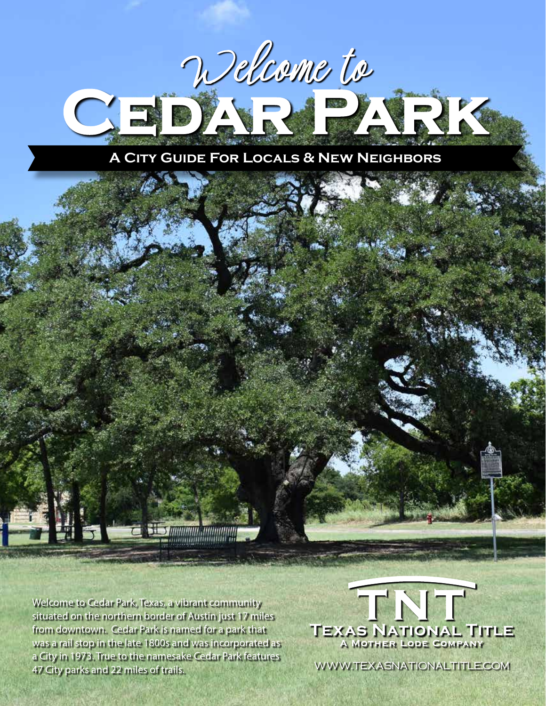

Welcome to Cedar Park, Texas, a vibrant community situated on the northern border of Austin just 17 miles from downtown. Cedar Park is named for a park that was a rail stop in the late 1800s and was incorporated as a City in 1973. True to the namesake Cedar Park features 47 City parks and 22 miles of trails.



www.TexasNationalTitle.com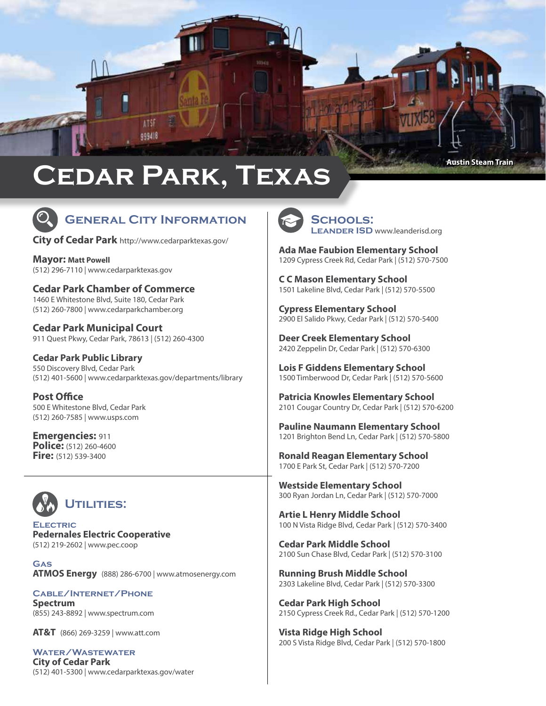

# **Cedar Park, Texas**



# **General City Information**

**City of Cedar Park** <http://www.cedarparktexas.gov/>

**Mayor: Matt Powell** [\(5](http://



)12) 296-7110 | [www.cedarparktexas.gov](http://



www.cedarparktexas.gov)

**Cedar Park Chamber of Commerce** 1460 E Whitestone Blvd, Suite 180, Cedar Park (512) 260-7800 | [www.cedarparkchamber.org](http://www.cedarparkchamber.org)

**Cedar Park Municipal Court** 911 Quest Pkwy, Cedar Park, 78613 | (512) 260-4300

**Cedar Park Public Library** 550 Discovery Blvd, Cedar Park (512) 401-5600 | [www.cedarparktexas.gov/departments/library](http://www.cedarparktexas.gov/departments/library)

**Post Office** 500 E Whitestone Blvd, Cedar Park (512) 260-7585 | [www.usps.com](http://www.usps.com)

**Emergencies:** 911 **Police:** (512) 260-4600 **Fire:** (512) 539-3400



**Electric Pedernales Electric Cooperative**  (512) 219-2602 | [www.pec.coop](http://www.pec.coop)

**Gas ATMOS Energy** (888) 286-6700 | [www.atmosenergy.com](http://www.atmosenergy.com)

**Cable/Internet/Phone Spectrum** (855) 243-8892 | [www.spectrum.com](https://www.spectrum.com/?cmp=TWC)

**AT&T** (866) 269-3259 | [www.att.com](http://www.att.com) 

**Water/Wastewater City of Cedar Park**  (512) 401-5300 | [www.cedarparktexas.gov/water](http://www.cedarparktexas.gov/water)



**Schools: LEANDER ISD** [www.leanderisd.org](http://www.leanderisd.org/)

**Ada Mae Faubion Elementary School** 1209 Cypress Creek Rd, Cedar Park | (512) 570-7500

**C C Mason Elementary School** 1501 Lakeline Blvd, Cedar Park | (512) 570-5500

**Cypress Elementary School** 2900 El Salido Pkwy, Cedar Park | (512) 570-5400

**Deer Creek Elementary School** 2420 Zeppelin Dr, Cedar Park | (512) 570-6300

**Lois F Giddens Elementary School** 1500 Timberwood Dr, Cedar Park | (512) 570-5600

**Patricia Knowles Elementary School** 2101 Cougar Country Dr, Cedar Park | (512) 570-6200

**Pauline Naumann Elementary School** 1201 Brighton Bend Ln, Cedar Park | (512) 570-5800

**Ronald Reagan Elementary School** 1700 E Park St, Cedar Park | (512) 570-7200

**Westside Elementary School** 300 Ryan Jordan Ln, Cedar Park | (512) 570-7000

**Artie L Henry Middle School** 100 N Vista Ridge Blvd, Cedar Park | (512) 570-3400

**Cedar Park Middle School** 2100 Sun Chase Blvd, Cedar Park | (512) 570-3100

**Running Brush Middle School** 2303 Lakeline Blvd, Cedar Park | (512) 570-3300

**Cedar Park High School** 2150 Cypress Creek Rd., Cedar Park | (512) 570-1200

**Vista Ridge High School** 200 S Vista Ridge Blvd, Cedar Park | (512) 570-1800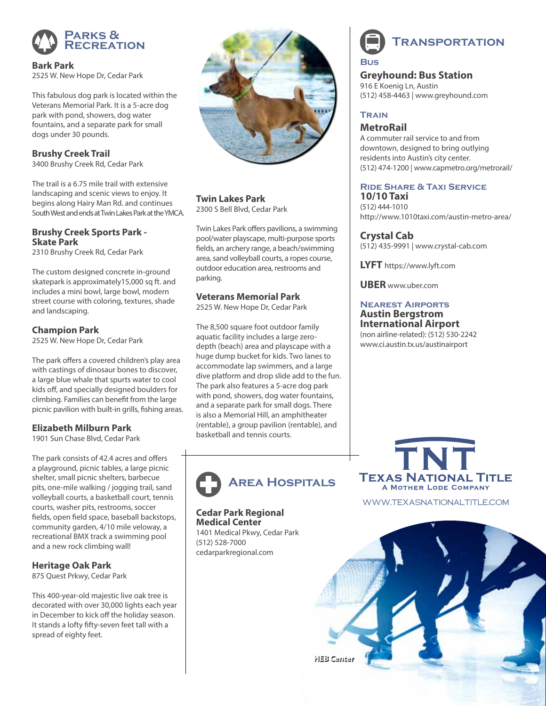

**Bark Park** 2525 W. New Hope Dr, Cedar Park

This fabulous dog park is located within the Veterans Memorial Park. It is a 5-acre dog park with pond, showers, dog water fountains, and a separate park for small dogs under 30 pounds.

**Brushy Creek Trail** 3400 Brushy Creek Rd, Cedar Park

The trail is a 6.75 mile trail with extensive landscaping and scenic views to enjoy. It begins along Hairy Man Rd. and continues South West and ends at Twin Lakes Park at the YMCA.

## **Brushy Creek Sports Park - Skate Park**

2310 Brushy Creek Rd, Cedar Park

The custom designed concrete in-ground skatepark is approximately15,000 sq ft. and includes a mini bowl, large bowl, modern street course with coloring, textures, shade and landscaping.

# **Champion Park**

2525 W. New Hope Dr, Cedar Park

The park offers a covered children's play area with castings of dinosaur bones to discover, a large blue whale that spurts water to cool kids off, and specially designed boulders for climbing. Families can benefit from the large picnic pavilion with built-in grills, fishing areas.

# **Elizabeth Milburn Park**

1901 Sun Chase Blvd, Cedar Park

The park consists of 42.4 acres and offers a playground, picnic tables, a large picnic shelter, small picnic shelters, barbecue pits, one-mile walking / jogging trail, sand volleyball courts, a basketball court, tennis courts, washer pits, restrooms, soccer fields, open field space, baseball backstops, community garden, 4/10 mile veloway, a recreational BMX track a swimming pool and a new rock climbing wall!

# **Heritage Oak Park**

875 Quest Prkwy, Cedar Park

This 400-year-old majestic live oak tree is decorated with over 30,000 lights each year in December to kick off the holiday season. It stands a lofty fifty-seven feet tall with a spread of eighty feet.



**Twin Lakes Park** 2300 S Bell Blvd, Cedar Park

Twin Lakes Park offers pavilions, a swimming pool/water playscape, multi-purpose sports fields, an archery range, a beach/swimming area, sand volleyball courts, a ropes course, outdoor education area, restrooms and parking.

# **Veterans Memorial Park**

2525 W. New Hope Dr, Cedar Park

The 8,500 square foot outdoor family aquatic facility includes a large zerodepth (beach) area and playscape with a huge dump bucket for kids. Two lanes to accommodate lap swimmers, and a large dive platform and drop slide add to the fun. The park also features a 5-acre dog park with pond, showers, dog water fountains, and a separate park for small dogs. There is also a Memorial Hill, an amphitheater (rentable), a group pavilion (rentable), and basketball and tennis courts.



#### **Cedar Park Regional Medical Center**

1401 Medical Pkwy, Cedar Park (512) 528-7000 cedarparkregional.com



**Greyhound: Bus Station** 916 E Koenig Ln, Austin (512) 458-4463 | www.greyhound.com

# **Train**

# **MetroRail**

A commuter rail service to and from downtown, designed to bring outlying residents into Austin's city center. (512) 474-1200 | [www.capmetro.org/metrorail/](https://www.capmetro.org/metrorail/)

### **Ride Share & Taxi Service 10/10 Taxi**

(512) 444-1010 <http://www.1010taxi.com/austin-metro-area/>

# **Crystal Cab**

(512) 435-9991 | [www.crystal-cab.com](http://www.crystal-cab.com/)

**LYFT** https://www.lyft.com

**UBER** www.uber.com

#### **Nearest Airports Austin Bergstrom International Airport**

(non airline-related): (512) 530-2242 www.ci.austin.tx.us/austinairport



www.TexasNationalTitle.com

**HEB Center**